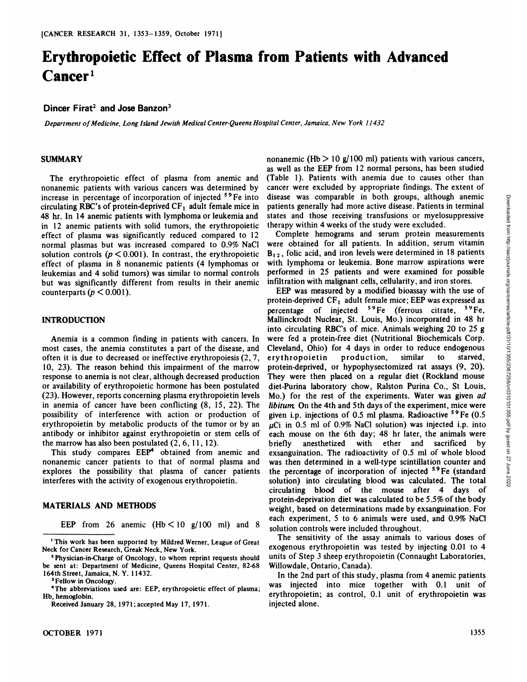# **Erythropoietic Effect of Plasma from Patients with Advanced Cancer1**

### **Dincer Firat2 and Jose Banzon**

*Department of Medicine. Long island Jewish Medical Center-Queens Hospital Center, Jamaica, New York 11432*

#### **SUMMARY**

The erythropoietic effect of plasma from anemic and nonanemic patients with various cancers was determined by increase in percentage of incorporation of injected 59Fe into circulating RBC's of protein-deprived  $CF<sub>1</sub>$  adult female mice in 48 hr. In 14 anemic patients with lymphomaor leukemia and in 12 anemic patients with solid tumors, the erythropoietic effect of plasma was significantly reduced compared to 12 normal plasmas but was increased compared to 0.9% NaCl solution controls ( $p < 0.001$ ). In contrast, the erythropoietic effect of plasma in 8 nonanemic patients (4 lymphomas or leukemias and 4 solid tumors) was similar to normal controls but was significantly different from results in their anemic counterparts ( $p < 0.001$ ).

#### **INTRODUCTION**

Anemia is a common finding in patients with cancers. In most cases, the anemia constitutes a part of the disease, and often it is due to decreased or ineffective erythropoiesis (2, 7, 10, 23). The reason behind this impairment of the marrow response to anemia is not clear, although decreased production or availability of erythropoietic hormone has been postulated (23). However, reports concerning plasma erythropoietin levels in anemia of cancer have been conflicting (8, 15, 22). The possibility of interference with action or production of given i.p. injections of 0.5 ml plasma. Radioactive <sup>59</sup> Fe (0.5 erythropoietin by metabolic products of the tumor or by an antibody or inhibitor against erythropoietin or stem cells of the marrow has also been postulated  $(2, 6, 11, 12)$ . briefly<br>This study compares  $EEP<sup>4</sup>$  obtained from anemic and exsangu

nonanemic cancer patients to that of normal plasma and explores the possibility that plasma of cancer patients interferes with the activity of exogenous erythropoietin.

#### **MATERIALS AND METHODS**

EEP from 26 anemic  $(Hb < 10 g/100 ml)$  and 8

4The abbreviations used are: EEP, erythropoietic effect of plasma; Hb, hemoglobin.

Received January 28, 1971; accepted May 17, 1971.

nonanemic (Hb  $> 10$  g/100 ml) patients with various cancers, as well as the EEP from 12 normal persons, has been studied (Table 1). Patients with anemia due to causes other than cancer were excluded by appropriate findings. The extent of patients generally had more active disease. Patients in terminal states and those receiving transfusions or myelosuppressive therapy within 4 weeks of the study were excluded.

Complete hemograms and serum protein measurements were obtained for all patients. In addition, serum vitamin  $B_{12}$ , folic acid, and iron levels were determined in 18 patients with lymphoma or leukemia. Bone marrow aspirations were performed in 25 patients and were examined for possible infiltration with malignant cells, cellularity, and iron stores.

disease was comparable in both groups, although anemic gate<br>ints generating had more active disease. Patients in terminal states and those receiving transitiosions or myelosup<br>pressive therapy within 4 weeks of the study EEP was measured by a modified bioassay with the use of protein-deprived  $CF_1$  adult female mice; EEP was expressed as percentage of injected <sup>59</sup>Fe (ferrous citrate, <sup>59</sup>Fe, Mallinckrodt Nuclear, St. Louis, Mo.) incorporated in 48 hr into circulating RBC's of mice. Animals weighing 20 to 25 g were fed a protein-free diet (Nutritional Biochemicals Corp. Cleveland, Ohio) for 4 days in order to reduce endogenous erythropoietin production, similar to starved, protein-deprived, or hypophysectomized rat assays (9, 20). They were then placed on a regular diet (Rockland mouse diet-Purina laboratory chow, Ralston Purina Co., St Louis, Mo.) for the rest of the experiments. Water was given ad *libitum.* On the 4th and 5th days of the experiment, mice were  $\mu$ Ci in 0.5 ml of 0.9% NaCl solution) was injected i.p. into each mouse on the 6th day; 48 hr later, the animals were anesthetized with ether and sacrificed by exsanguination. The radioactivity of 0.5 ml of whole blood was then determined in a well-type scintillation counter and the percentage of incorporation of injected <sup>59</sup>Fe (standard solution) into circulating blood was calculated. The total circulating blood of the mouse after 4 days of protein-deprivation diet was calculated to be 5.5% of the body weight, based on determinations made by exsanguination. For each experiment, 5 to 6 animals were used, and 0.9% NaCl solution controls were included throughout.

The sensitivity of the assay animals to various doses of exogenous erythropoietin was tested by injecting 0.01 to 4 units of Step 3 sheep erythropoietin (Connaught Laboratories, Willowdale, Ontario, Canada).

In the 2nd part of this study, plasma from 4 anemic patients was injected into mice together with 0.1 unit of erythropoietin; as control, 0.1 unit of erythropoietin was injected alone.

<sup>&</sup>lt;sup>1</sup> This work has been supported by Mildred Werner, League of Great Neck for Cancer Research, Greak Neck, New York.

<sup>2</sup>Physician-in-Charge of Oncology, to whom reprint requests should be sent at: Department of Medicine, Queens Hospital Center, 82-68 164th Street, Jamaica, N. Y. 11432.

**<sup>3</sup>Fellow in Oncology.**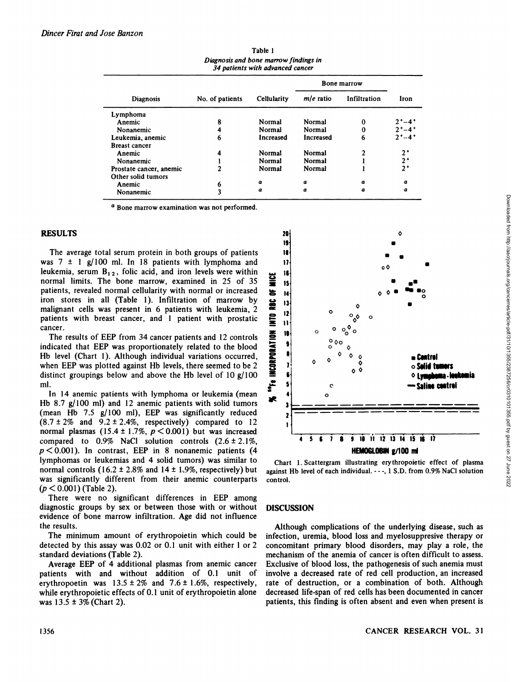| 34 patients with advanced cancer |                 |                  |             |              |                 |
|----------------------------------|-----------------|------------------|-------------|--------------|-----------------|
|                                  |                 |                  | Bone marrow |              |                 |
| <b>Diagnosis</b>                 | No. of patients | Cellularity      | $m/e$ ratio | Infiltration | Iron            |
| Lymphoma                         |                 |                  |             |              |                 |
| Anemic                           | 8               | Normal           | Normal      | 0            | $2^{+} - 4^{+}$ |
| Nonanemic                        | 4               | Normal           | Normal      |              | $2^{+} - 4^{+}$ |
| Leukemia, anemic                 | 6               | Increased        | Increased   | b            | $2^{+}-4^{+}$   |
| <b>Breast cancer</b>             |                 |                  |             |              |                 |
| Anemic                           | 4               | Normal           | Normal      |              | $2^+$           |
| Nonanemic                        |                 | Normal           | Normal      |              | $2+$            |
| Prostate cancer, anemic          | ◠               | Normal           | Normal      |              | $2^+$           |
| Other solid tumors               |                 |                  |             |              |                 |
| Anemic                           | O               | $\boldsymbol{a}$ | a           | $\alpha$     | a               |
| Nonanemic                        | 3               | $\pmb{a}$        | a           | a            | a               |

Table 1 *Diagnosis and bone marrow findings in*

<sup>a</sup> Bone marrow examination was not performed.

## **RESULTS**

The average total serum protein in both groups of patients was  $7 \pm 1$  g/100 ml. In 18 patients with lymphoma and leukemia, serum B<sub>12</sub>, folic acid, and iron levels were within<br>normal limits. The bone marrow, examined in 25 of 35 normal limits. The bone marrow, examined in 25 of 35 patients, revealed normal cellularity with normal or increased iron stores in all (Table 1). Infiltration of marrow by malignant cells was present in 6 patients with leukemia, 2 patients with breast cancer, and 1 patient with prostatic malignant cells was present in 6 patients with leukemia, 2 patients with breast cancer, and 1 patient with prostatic cancer.

The results of EEP from 34 cancer patients and 12 controls<br>licated that EEP was proportionately related to the blood<br>b level (Chart 1). Although individual variations occurred,<br>en EEP was plotted against Hb levels, there indicated that EEP was proportionately related to the blood Hb level (Chart 1). Although individual variations occurred, when EEP was plotted against Hb levels, there seemed to be 2 distinct groupings below and above the Hb level of 10 g/100 ml.

In 14 anemic patients with lymphoma or leukemia (mean<br> $\frac{1}{2}$  and 12 anemic patients with solid tungers Hb 8.7 g/100 ml) and 12 anemic patients with solid tumors (mean Hb 7.5 g/100 ml), EEP was significantly reduced  $(8.7 \pm 2\%$  and  $9.2 \pm 2.4\%$ , respectively) compared to 12 normal plasmas (15.4 ± 1.7%,  $p < 0.001$ ) but was increased compared to  $0.9\%$  NaCl solution controls  $(2.6 \pm 2.1\%$ , *p < 0.001). In contrast, EEP in 8 nonanemic patients (4* lymphomas or leukemias and 4 solid tumors) was similar to normal controls (16.2  $\pm$  2.8% and 14  $\pm$  1.9%, respectively) but was significantly different from their anemic counterparts *(p< 0.001) (Table 2).*

There were no significant differences in EEP among diagnostic groups by sex or between those with or without evidence of bone marrow infiltration. Age did not influence the results.

The minimum amount of erythropoietin which could be detected by this assay was 0.02 or 0.1 unit with either 1 or 2 standard deviations (Table 2).

Average EEP of 4 additional plasmas from anemic cancer patients with and without addition of 0.1 unit of erythropoetin was  $13.5 \pm 2\%$  and  $7.6 \pm 1.6\%$ , respectively, while erythropoietic effects of 0.1 unit of erythropoietin alone was  $13.5 \pm 3\%$  (Chart 2).



Chart 1. Scattergram illustrating erythropoietic effect of plasma against Hb level of each individual. - - -, 1 S.D. from 0.9% NaCl solution control.

#### **DISCUSSION**

Although complications of the underlying disease, such as infection, uremia, blood loss and myelosuppresive therapy or concomitant primary blood disorders, may play a role, the mechanism of the anemia of cancer is often difficult to assess. Exclusive of blood loss, the pathogenesis of such anemia must involve a decreased rate of red cell production, an increased rate of destruction, or a combination of both. Although decreased life-span of red cells has been documented in cancer patients, this finding is often absent and even when present is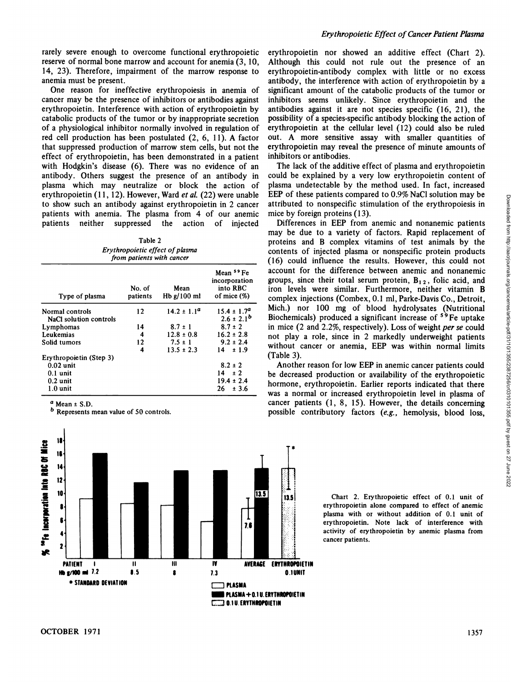rarely severe enough to overcome functional erythropoietic reserve of normal bone marrow and account for anemia (3, 10, 14, 23). Therefore, impairment of the marrow response to anemia must be present.

One reason for ineffective erythropoiesis in anemia of cancer may be the presence of inhibitors or antibodies against erythropoietin. Interference with action of erythropoietin by catabolic products of the tumor or by inappropriate secretion of a physiological inhibitor normally involved in regulation of red cell production has been postulated (2, 6, 11). A factor that suppressed production of marrow stem cells, but not the effect of erythropoietin, has been demonstrated in <sup>a</sup> patient with Hodgkin's disease (6). There was no evidence of an antibody. Others suggest the presence of an antibody in plasma which may neutralize or block the action of erythropoietin (11, 12). However, Ward et al. (22) were unable to show such an antibody against erythropoietin in 2 cancer patients with anemia. The plasma from 4 of our anemic patients neither suppressed the action of injected

Table 2 *Erythropoietic effect of plasma from patients with cancer*

| Type of plasma          | No. of<br>patients | Mean<br>Hb $g/100$ ml | Mean <sup>59</sup> Fe<br>incorporation<br>into RBC<br>of mice $(\%)$ |
|-------------------------|--------------------|-----------------------|----------------------------------------------------------------------|
| Normal controls         | 12                 | $14.2 \pm 1.1^a$      | $15.4 \pm 1.7^a$                                                     |
| NaCl solution controls  |                    |                       | $2.6 \pm 2.1^{b}$                                                    |
| Lymphomas               | 14                 | $8.7 \pm 1$           | $8.7 \pm 2$                                                          |
| Leukemias               | 4                  | $12.8 \pm 0.8$        | $16.2 \pm 2.8$                                                       |
| Solid tumors            | 12                 | $7.5 \pm 1$           | $9.2 \pm 2.4$                                                        |
|                         | 4                  | $13.5 \pm 2.3$        | ±1.9<br>14                                                           |
| Erythropoietin (Step 3) |                    |                       |                                                                      |
| $0.02$ unit             |                    |                       | $8.2 \pm 2$                                                          |
| $0.1$ unit              |                    |                       | 14<br>± 2                                                            |
| $0.2 \text{ unit}$      |                    |                       | $19.4 \pm 2.4$                                                       |
| $1.0 \text{ unit}$      |                    |                       | 26<br>± 3.6                                                          |

 $a$  Mean  $\pm$  S.D.

b Represents mean value of 50 controls.



erythropoietin nor showed an additive effect (Chart 2). Although this could not rule out the presence of an erythropoietin-antibody complex with little or no excess antibody, the interference with action of erythropoietin by a significant amount of the catabolic products of the tumor or inhibitors seems unlikely. Since erythropoietin and the antibodies against it are not species specific (16, 21), the possibility of a species-specific antibody blocking the action of erythropoietin at the cellular level (12) could also be ruled out. A more sensitive assay with smaller quantities of erythropoietin may reveal the presence of minute amounts of inhibitors or antibodies.

The lack of the additive effect of plasma and erythropoietin could be explained by a very low erythropoietin content of plasma undetectable by the method used. In fact, increased attributed to nonspecific stimulation of the erythropoiesis in mice by foreign proteins (13).

f mice  $\%$  complex injections (Combex, 0.1 ml, Parke-Davis Co., Detroit, EEP of these patients compared to 0.9% NaCl solution may be attributed to nonspecific stimulation of the erythropoiesis in mine by foreign proteins (13).<br>
Differences in EEP from anemic and nonanemic patients of may be du Differences in EEP from anemic and nonanemic patients may be due to a variety of factors. Rapid replacement of proteins and B complex vitamins of test animals by the contents of injected plasma or nonspecific protein products (16) could influence the results. However, this could not account for the difference between anemic and nonanemic groups, since their total serum protein,  $B_{12}$ , folic acid, and iron levels were similar. Furthermore, neither vitamin B Mich.) nor 100 mg of blood hydrolysates (Nutritional Biochemicals) produced a significant increase of  $59$ Fe uptake in mice  $(2 \text{ and } 2.2\%$ , respectively). Loss of weight *per se* could not play a role, since in 2 markedly underweight patients without cancer or anemia, EEP was within normal limits (Table 3).

Another reason for low EEP in anemic cancer patients could be decreased production or availability of the erythropoietic hormone, erythropoietin. Earlier reports indicated that there was a normal or increased erythropoietin level in plasma of cancer patients (1, 8, 15). However, the details concerning possible contributory factors (e.g., hemolysis, blood loss,

> Chart 2. Erythropoietic effect of O.I unit of erythropoietin alone compared to effect of anemic plasma with or without addition of 0.1 unit of erythropoietin. Note lack of interference with activity of erythropoietin by anemic plasma from cancer patients.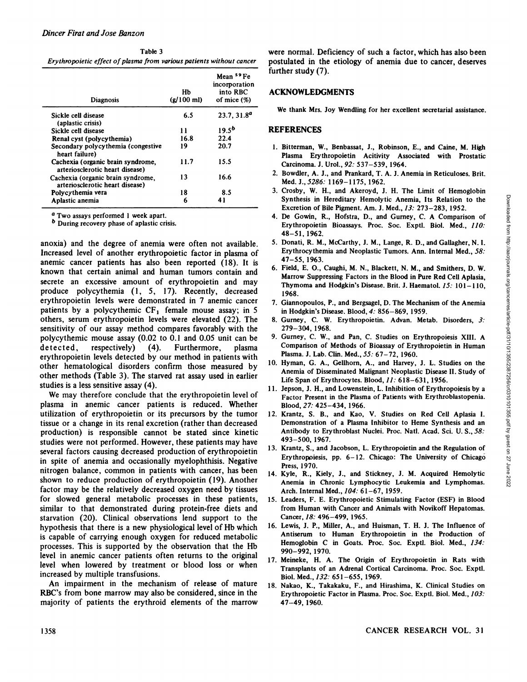| Table 3                                                              |           |
|----------------------------------------------------------------------|-----------|
| Erythropoietic effect of plasma from various patients without cancer | <b>DO</b> |

| Diagnosis                                                            | Hb<br>$(g/100$ ml) | Mean 59 Fe<br>incorporation<br>into RBC<br>of mice $(\%)$ |
|----------------------------------------------------------------------|--------------------|-----------------------------------------------------------|
| Sickle cell disease<br>(aplastic crisis)                             | 6.5                | 23.7, 31.8 <sup>a</sup>                                   |
| Sickle cell disease                                                  | 11                 | 19.5 <sup>b</sup>                                         |
| Renal cyst (polycythemia)                                            | 16.8               | 22.4                                                      |
| Secondary polycythemia (congestive<br>heart failure)                 | 19                 | 20.7                                                      |
| Cachexia (organic brain syndrome,<br>arteriosclerotic heart disease) | 11.7               | 15.5                                                      |
| Cachexia (organic brain syndrome,<br>arteriosclerotic heart disease) | 13                 | 16.6                                                      |
| Polycythemia vera                                                    | 18                 | 8.5                                                       |
| Aplastic anemia                                                      | 6                  | 41                                                        |

<sup>a</sup> Two assays performed 1 week apart.

b During recovery phase of aplastic crisis.

anoxia) and the degree of anemia were often not available. Increased level of another erythropoietic factor in plasma of anemic cancer patients has also been reported (18). It is known that certain animal and human tumors contain and secrete an excessive amount of erythropoietin and may<br>Thymoma and Hodgkin's Disease Brit. J. Haematol. 15: 101-110, produce polycythemia (1, 5, 17). Recently, decreased erythropoietin levels were demonstrated in 7 anemic cancer patients by a polycythemic  $CF<sub>1</sub>$  female mouse assay; in 5 others, serum erythropoietin levels were elevated (22). The sensitivity of our assay method compares favorably with the polycythemic mouse assay (0.02 to 0.1 and 0.05 unit can be detected, respectively) (4). Furthermore, plasma erythropoietin levels detected by our method in patients with other hematological disorders confirm those measured by other methods (Table 3). The starved rat assay used in earlier studies is a less sensitive assay (4).

We may therefore conclude that the erythropoietin level of plasma in anemic cancer patients is reduced. Whether utilization of erythropoietin or its precursors by the tumor tissue or a change in its renal excretion (rather than decreased production) is responsible cannot be stated since kinetic studies were not performed. However, these patients may have several factors causing decreased production of erythropoietin in spite of anemia and occasionally myelophthisis. Negative nitrogen balance, common in patients with cancer, has been shown to reduce production of erythropoietin (19). Another factor may be the relatively decreased oxygen need by tissues for slowed general metabolic processes in these patients, similar to that demonstrated during protein-free diets and starvation (20). Clinical observations lend support to the hypothesis that there is a new physiological level of Hb which is capable of carrying enough oxygen for reduced metabolic processes. This is supported by the observation that the Hb level in anemic cancer patients often returns to the original level when lowered by treatment or blood loss or when increased by multiple transfusions. Applications are the effect of the state of the state of the state of the state of the state of the state of the state of the state of the state of the state of the state of the state of the state of the state of the stat

An impairment in the mechanism of release of mature RBC's from bone marrow may also be considered, since in the majority of patients the erythroid elements of the marrow

were normal. Deficiency of such a factor, which has also been postulated in the etiology of anemia due to cancer, deserves further study (7).

# Hb into RBC **ACKNOWLEDGMENTS**

We thank Mrs. Joy Wendling for her excellent secretarial assistance.

## REFERENCES

- 1. Bitterman, W., Benbassat, J., Robinson, E., and Caine, M. High Plasma Erythropoietin Acitivity Associated with Prostatic Carcinoma. J. Urol., 92: 537-539, 1964.
- 2. Bowdler, A. J., and Prankard, T. A. J. Anemia in Reticuloses. Brit. Med. J., 5286: 1169-1175, 1962.
- Synthesis in Hereditary Hemolytic Anemia, Its Relation to the Excretion of Bile Pigment. Am. J. Med., 13: 273-283, 1952.
- 4. De Gowin, R., Hofstra, D., and Gurney, C. A Comparison of Erythropoietin Bioassays. Proc. Soc. Exptl. Biol. Med., 110: 48-51, 1962.
- 5. Donati, R. M., McCarthy, J. M., Lange, R. D., and Gallagher, N. I. Erythrocythemia and Neoplastic Tumors. Ann. Internal Med., 58: 47-55, 1963.
- 3. Crosby, W. H., and Akeroyd, J. H. The Limit of Hemoglobin<br>Synthesis in Hereditary Hemolytic Anemia, Its Relation to the<br>Excretion of Bile Pigment. Am. J. Med.,  $J3$ : 273–283, 1952.<br>4. De Gowin, R., Hofstra, D., and Gur 6. Field, E. O., Caughi, M. N., Blackett, N. M., and Smithers, D. W. Marrow Suppressing Factors in the Blood in Pure Red Cell Aplasia. 1968.
- 7. Giannopoulos, P., and Bergsagel, D. The Mechanism of the Anemia in Hodgkin's Disease. Blood, 4: 856-869, 1959.
- 8. Gurney, C. W. Erythropoietin. Advan. Metab. Disorders, 3: 279-304, 1968.
- 9. Gurney, C. W., and Pan, C. Studies on Erythropoiesis XIII. A Comparison of Methods of Bioassay of Erythropoietin in Human Plasma. J. Lab. Clin. Med., 55: 67-72, 1960.
- 10. Hyman, G. A., Gellhorn, A., and Harvey, J. L. Studies on the Anemia of Disseminated Malignant Neoplastic Disease II. Study of Life Span of Erythrocytes. Blood,  $11:618-631$ , 1956.
- 11. Jepson, J. H., and Lowenstein, L. Inhibition of Erythropoiesis by a Factor Present in the Plasma of Patients with Erythroblastopenia. Blood, 27: 425-434, 1966.
- 12. Krantz, S. B., and Kao, V. Studies on Red Cell Aplasia I. Demonstration of a Plasma Inhibitor to Heme Synthesis and an Antibody to Erythroblast Nuclei. Proc. Natl. Acad. Sci. U. S., 58: 493-500, 1967.
- 13. Krantz, S., and Jacobson, L. Erythropoietin and the Regulation of Erythropoiesis, pp.  $6-12$ . Chicago: The University of Chicago Press, 1970.
- 14. Kyle, R., Kiely, J., and Stickney, J. M. Acquired Hemolytic Anemia in Chronic Lymphocytic Leukemia and Lymphomas. Arch. Internal Med., 104: 61-67, 1959.
- 15. Leaders, F. E. Erythropoietic Stimulating Factor (ESF) in Blood from Human with Cancer and Animals with Novikoff Hepatomas. Cancer, 18: 496-499, 1965.
- 16. Lewis, J. P., Miller, A., and Huisman, T. H. J. The Influence of Antiserum to Human Erythropoietin in the Production of Hemoglobin C in Goats. Proc. Soc. Exptl. Biol. Med., 134: 990-992, 1970.
- 17. Meineke, H. A. The Origin of Erythropoietin in Rats with Transplants of an Adrenal Cortical Carcinoma. Proc. Soc. Exptl. Biol. Med., 132: 651-655, 1969.
- 18. Nakao, K., Takakaku, F., and Hirashima, K. Clinical Studies on Erythropoietic Factor in Plasma. Proc. Soc. Exptl. Biol. Med., 103: 47-49, 1960.